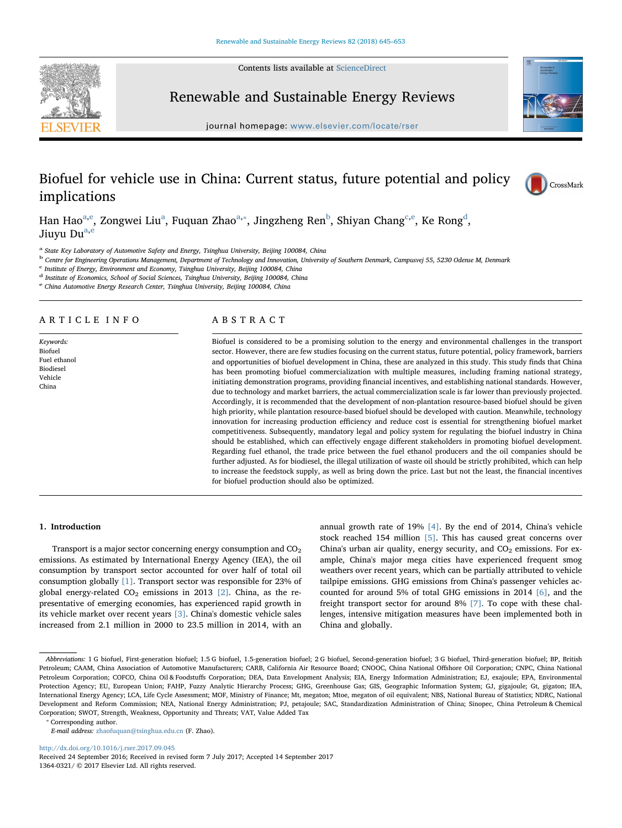Contents lists available at [ScienceDirect](http://www.sciencedirect.com/science/journal/13640321)



Renewable and Sustainable Energy Reviews

journal homepage: [www.elsevier.com/locate/rser](https://www.elsevier.com/locate/rser)



CrossMark

# Biofuel for vehicle use in China: Current status, future potential and policy implications

H[a](#page-0-0)n Hao<sup>a,[e](#page-0-1)</sup>, Zongwei Liu<sup>a</sup>, Fuquan Zhao<sup>a,</sup>\*, Jingzheng Ren<sup>b</sup>, Shiyan Chang<sup>[c,](#page-0-4)e</sup>, Ke Rong<sup>[d](#page-0-5)</sup>, Jiuvu Du<sup>a,[e](#page-0-1)</sup>

<span id="page-0-0"></span><sup>a</sup> State Key Laboratory of Automotive Safety and Energy, Tsinghua University, Beijing 100084, China

<span id="page-0-3"></span><sup>b</sup> Centre for Engineering Operations Management, Department of Technology and Innovation, University of Southern Denmark, Campusvej 55, 5230 Odense M, Denmark

<span id="page-0-4"></span> $c$  Institute of Energy, Environment and Economy, Tsinghua University, Beijing 100084, China

<span id="page-0-5"></span><sup>d</sup> Institute of Economics, School of Social Sciences, Tsinghua University, Beijing 100084, China

<span id="page-0-1"></span><sup>e</sup> China Automotive Energy Research Center, Tsinghua University, Beijing 100084, China

# ARTICLE INFO

Keywords: Biofuel Fuel ethanol Biodiesel Vehicle China

# ABSTRACT

Biofuel is considered to be a promising solution to the energy and environmental challenges in the transport sector. However, there are few studies focusing on the current status, future potential, policy framework, barriers and opportunities of biofuel development in China, these are analyzed in this study. This study finds that China has been promoting biofuel commercialization with multiple measures, including framing national strategy, initiating demonstration programs, providing financial incentives, and establishing national standards. However, due to technology and market barriers, the actual commercialization scale is far lower than previously projected. Accordingly, it is recommended that the development of non-plantation resource-based biofuel should be given high priority, while plantation resource-based biofuel should be developed with caution. Meanwhile, technology innovation for increasing production efficiency and reduce cost is essential for strengthening biofuel market competitiveness. Subsequently, mandatory legal and policy system for regulating the biofuel industry in China should be established, which can effectively engage different stakeholders in promoting biofuel development. Regarding fuel ethanol, the trade price between the fuel ethanol producers and the oil companies should be further adjusted. As for biodiesel, the illegal utilization of waste oil should be strictly prohibited, which can help to increase the feedstock supply, as well as bring down the price. Last but not the least, the financial incentives for biofuel production should also be optimized.

# 1. Introduction

Transport is a major sector concerning energy consumption and  $CO<sub>2</sub>$ emissions. As estimated by International Energy Agency (IEA), the oil consumption by transport sector accounted for over half of total oil consumption globally [\[1\].](#page-7-0) Transport sector was responsible for 23% of global energy-related  $CO<sub>2</sub>$  emissions in 2013 [\[2\]](#page-7-1). China, as the representative of emerging economies, has experienced rapid growth in its vehicle market over recent years [\[3\]](#page-7-2). China's domestic vehicle sales increased from 2.1 million in 2000 to 23.5 million in 2014, with an annual growth rate of 19% [\[4\].](#page-7-3) By the end of 2014, China's vehicle stock reached 154 million [\[5\].](#page-7-4) This has caused great concerns over China's urban air quality, energy security, and  $CO<sub>2</sub>$  emissions. For example, China's major mega cities have experienced frequent smog weathers over recent years, which can be partially attributed to vehicle tailpipe emissions. GHG emissions from China's passenger vehicles accounted for around 5% of total GHG emissions in 2014 [\[6\],](#page-7-5) and the freight transport sector for around 8% [\[7\]](#page-7-6). To cope with these challenges, intensive mitigation measures have been implemented both in China and globally.

<span id="page-0-2"></span>⁎ Corresponding author.

<http://dx.doi.org/10.1016/j.rser.2017.09.045>

Received 24 September 2016; Received in revised form 7 July 2017; Accepted 14 September 2017 1364-0321/ © 2017 Elsevier Ltd. All rights reserved.

Abbreviations: 1 G biofuel, First-generation biofuel; 1.5 G biofuel, 1.5-generation biofuel; 2 G biofuel, Second-generation biofuel; 3 G biofuel, Third-generation biofuel; BP, British Petroleum; CAAM, China Association of Automotive Manufacturers; CARB, California Air Resource Board; CNOOC, China National Offshore Oil Corporation; CNPC, China National Petroleum Corporation; COFCO, China Oil & Foodstuffs Corporation; DEA, Data Envelopment Analysis; EIA, Energy Information Administration; EJ, exajoule; EPA, Environmental Protection Agency; EU, European Union; FAHP, Fuzzy Analytic Hierarchy Process; GHG, Greenhouse Gas; GIS, Geographic Information System; GJ, gigajoule; Gt, gigaton; IEA, International Energy Agency; LCA, Life Cycle Assessment; MOF, Ministry of Finance; Mt, megaton; Mtoe, megaton of oil equivalent; NBS, National Bureau of Statistics; NDRC, National Development and Reform Commission; NEA, National Energy Administration; PJ, petajoule; SAC, Standardization Administration of China; Sinopec, China Petroleum & Chemical Corporation; SWOT, Strength, Weakness, Opportunity and Threats; VAT, Value Added Tax

E-mail address: [zhaofuquan@tsinghua.edu.cn](mailto:zhaofuquan@tsinghua.edu.cn) (F. Zhao).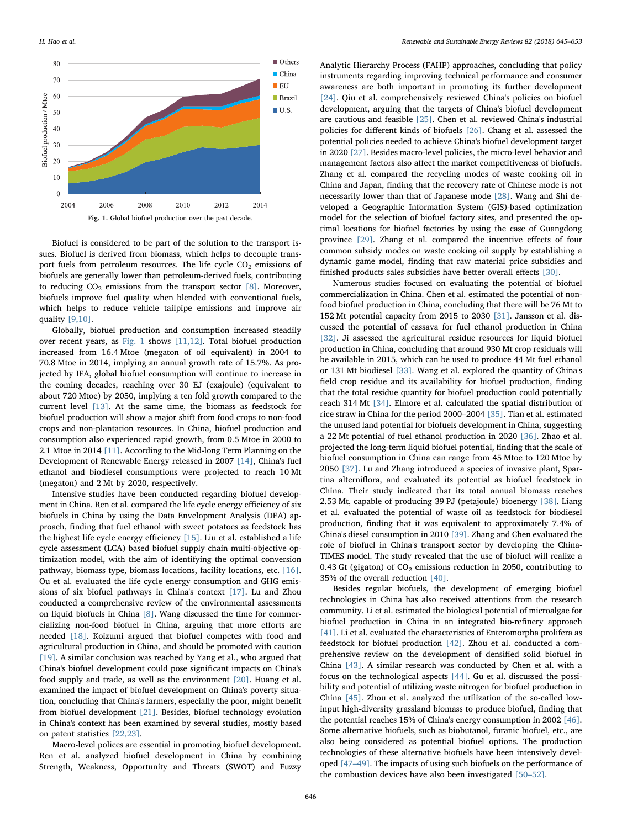<span id="page-1-0"></span>

Biofuel is considered to be part of the solution to the transport issues. Biofuel is derived from biomass, which helps to decouple transport fuels from petroleum resources. The life cycle  $CO<sub>2</sub>$  emissions of biofuels are generally lower than petroleum-derived fuels, contributing to reducing  $CO<sub>2</sub>$  emissions from the transport sector [\[8\].](#page-7-7) Moreover, biofuels improve fuel quality when blended with conventional fuels, which helps to reduce vehicle tailpipe emissions and improve air quality [\[9,10\]](#page-7-8).

Globally, biofuel production and consumption increased steadily over recent years, as [Fig. 1](#page-1-0) shows [\[11,12\]](#page-7-9). Total biofuel production increased from 16.4 Mtoe (megaton of oil equivalent) in 2004 to 70.8 Mtoe in 2014, implying an annual growth rate of 15.7%. As projected by IEA, global biofuel consumption will continue to increase in the coming decades, reaching over 30 EJ (exajoule) (equivalent to about 720 Mtoe) by 2050, implying a ten fold growth compared to the current level [\[13\].](#page-7-10) At the same time, the biomass as feedstock for biofuel production will show a major shift from food crops to non-food crops and non-plantation resources. In China, biofuel production and consumption also experienced rapid growth, from 0.5 Mtoe in 2000 to 2.1 Mtoe in 2014 [\[11\]](#page-7-9). According to the Mid-long Term Planning on the Development of Renewable Energy released in 2007 [\[14\],](#page-7-11) China's fuel ethanol and biodiesel consumptions were projected to reach 10 Mt (megaton) and 2 Mt by 2020, respectively.

Intensive studies have been conducted regarding biofuel development in China. Ren et al. compared the life cycle energy efficiency of six biofuels in China by using the Data Envelopment Analysis (DEA) approach, finding that fuel ethanol with sweet potatoes as feedstock has the highest life cycle energy efficiency [\[15\]](#page-7-12). Liu et al. established a life cycle assessment (LCA) based biofuel supply chain multi-objective optimization model, with the aim of identifying the optimal conversion pathway, biomass type, biomass locations, facility locations, etc. [\[16\]](#page-7-13). Ou et al. evaluated the life cycle energy consumption and GHG emissions of six biofuel pathways in China's context [\[17\].](#page-7-14) Lu and Zhou conducted a comprehensive review of the environmental assessments on liquid biofuels in China [\[8\].](#page-7-7) Wang discussed the time for commercializing non-food biofuel in China, arguing that more efforts are needed [\[18\].](#page-7-15) Koizumi argued that biofuel competes with food and agricultural production in China, and should be promoted with caution [\[19\]](#page-7-16). A similar conclusion was reached by Yang et al., who argued that China's biofuel development could pose significant impacts on China's food supply and trade, as well as the environment [\[20\].](#page-7-17) Huang et al. examined the impact of biofuel development on China's poverty situation, concluding that China's farmers, especially the poor, might benefit from biofuel development [\[21\]](#page-7-18). Besides, biofuel technology evolution in China's context has been examined by several studies, mostly based on patent statistics [\[22,23\].](#page-7-19)

Macro-level polices are essential in promoting biofuel development. Ren et al. analyzed biofuel development in China by combining Strength, Weakness, Opportunity and Threats (SWOT) and Fuzzy

Analytic Hierarchy Process (FAHP) approaches, concluding that policy instruments regarding improving technical performance and consumer awareness are both important in promoting its further development [\[24\]](#page-7-20). Qiu et al. comprehensively reviewed China's policies on biofuel development, arguing that the targets of China's biofuel development are cautious and feasible [\[25\]](#page-7-21). Chen et al. reviewed China's industrial policies for different kinds of biofuels [\[26\].](#page-7-22) Chang et al. assessed the potential policies needed to achieve China's biofuel development target in 2020 [\[27\].](#page-7-23) Besides macro-level policies, the micro-level behavior and management factors also affect the market competitiveness of biofuels. Zhang et al. compared the recycling modes of waste cooking oil in China and Japan, finding that the recovery rate of Chinese mode is not necessarily lower than that of Japanese mode [\[28\].](#page-7-24) Wang and Shi developed a Geographic Information System (GIS)-based optimization model for the selection of biofuel factory sites, and presented the optimal locations for biofuel factories by using the case of Guangdong province [\[29\]](#page-7-25). Zhang et al. compared the incentive effects of four common subsidy modes on waste cooking oil supply by establishing a dynamic game model, finding that raw material price subsidies and finished products sales subsidies have better overall effects [\[30\]](#page-8-0).

Numerous studies focused on evaluating the potential of biofuel commercialization in China. Chen et al. estimated the potential of nonfood biofuel production in China, concluding that there will be 76 Mt to 152 Mt potential capacity from 2015 to 2030 [\[31\]](#page-8-1). Jansson et al. discussed the potential of cassava for fuel ethanol production in China [\[32\]](#page-8-2). Ji assessed the agricultural residue resources for liquid biofuel production in China, concluding that around 930 Mt crop residuals will be available in 2015, which can be used to produce 44 Mt fuel ethanol or 131 Mt biodiesel [\[33\].](#page-8-3) Wang et al. explored the quantity of China's field crop residue and its availability for biofuel production, finding that the total residue quantity for biofuel production could potentially reach 314 Mt [\[34\].](#page-8-4) Elmore et al. calculated the spatial distribution of rice straw in China for the period 2000–2004 [\[35\]](#page-8-5). Tian et al. estimated the unused land potential for biofuels development in China, suggesting a 22 Mt potential of fuel ethanol production in 2020 [\[36\]](#page-8-6). Zhao et al. projected the long-term liquid biofuel potential, finding that the scale of biofuel consumption in China can range from 45 Mtoe to 120 Mtoe by 2050 [\[37\].](#page-8-7) Lu and Zhang introduced a species of invasive plant, Spartina alterniflora, and evaluated its potential as biofuel feedstock in China. Their study indicated that its total annual biomass reaches 2.53 Mt, capable of producing 39 PJ (petajoule) bioenergy [\[38\]](#page-8-8). Liang et al. evaluated the potential of waste oil as feedstock for biodiesel production, finding that it was equivalent to approximately 7.4% of China's diesel consumption in 2010 [\[39\].](#page-8-9) Zhang and Chen evaluated the role of biofuel in China's transport sector by developing the China-TIMES model. The study revealed that the use of biofuel will realize a 0.43 Gt (gigaton) of  $CO<sub>2</sub>$  emissions reduction in 2050, contributing to 35% of the overall reduction [\[40\].](#page-8-10)

Besides regular biofuels, the development of emerging biofuel technologies in China has also received attentions from the research community. Li et al. estimated the biological potential of microalgae for biofuel production in China in an integrated bio-refinery approach [\[41\]](#page-8-11). Li et al. evaluated the characteristics of Enteromorpha prolifera as feedstock for biofuel production [\[42\].](#page-8-12) Zhou et al. conducted a comprehensive review on the development of densified solid biofuel in China [\[43\]](#page-8-13). A similar research was conducted by Chen et al. with a focus on the technological aspects [\[44\].](#page-8-14) Gu et al. discussed the possibility and potential of utilizing waste nitrogen for biofuel production in China [\[45\]](#page-8-15). Zhou et al. analyzed the utilization of the so-called lowinput high-diversity grassland biomass to produce biofuel, finding that the potential reaches 15% of China's energy consumption in 2002 [\[46\]](#page-8-16). Some alternative biofuels, such as biobutanol, furanic biofuel, etc., are also being considered as potential biofuel options. The production technologies of these alternative biofuels have been intensively developed [\[47](#page-8-17)–49]. The impacts of using such biofuels on the performance of the combustion devices have also been investigated [50–[52\].](#page-8-18)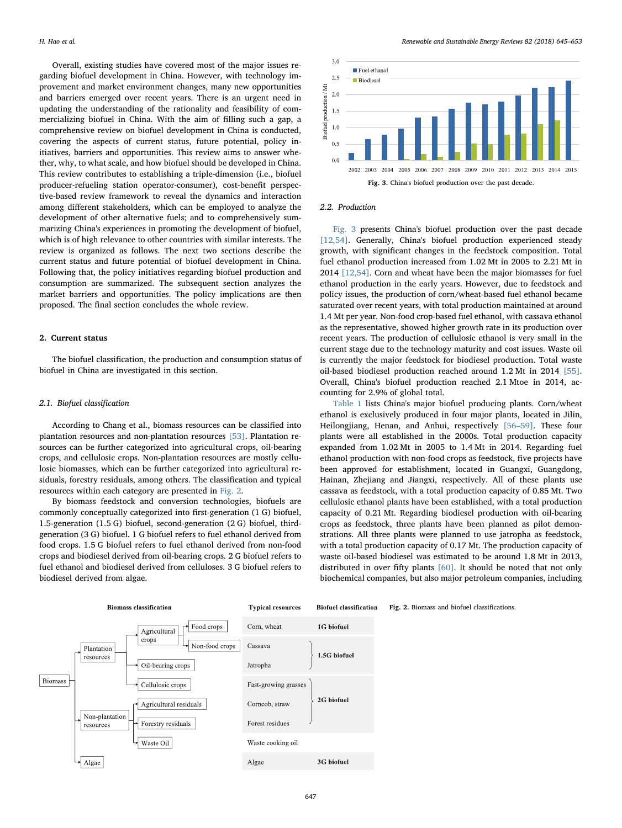Overall, existing studies have covered most of the major issues regarding biofuel development in China. However, with technology improvement and market environment changes, many new opportunities and barriers emerged over recent years. There is an urgent need in updating the understanding of the rationality and feasibility of commercializing biofuel in China. With the aim of filling such a gap, a comprehensive review on biofuel development in China is conducted, covering the aspects of current status, future potential, policy initiatives, barriers and opportunities. This review aims to answer whether, why, to what scale, and how biofuel should be developed in China. This review contributes to establishing a triple-dimension (i.e., biofuel producer-refueling station operator-consumer), cost-benefit perspective-based review framework to reveal the dynamics and interaction among different stakeholders, which can be employed to analyze the development of other alternative fuels; and to comprehensively summarizing China's experiences in promoting the development of biofuel, which is of high relevance to other countries with similar interests. The review is organized as follows. The next two sections describe the current status and future potential of biofuel development in China. Following that, the policy initiatives regarding biofuel production and consumption are summarized. The subsequent section analyzes the market barriers and opportunities. The policy implications are then proposed. The final section concludes the whole review.

#### 2. Current status

The biofuel classification, the production and consumption status of biofuel in China are investigated in this section.

# 2.1. Biofuel classification

According to Chang et al., biomass resources can be classified into plantation resources and non-plantation resources [\[53\].](#page-8-19) Plantation resources can be further categorized into agricultural crops, oil-bearing crops, and cellulosic crops. Non-plantation resources are mostly cellulosic biomasses, which can be further categorized into agricultural residuals, forestry residuals, among others. The classification and typical resources within each category are presented in [Fig. 2](#page-2-0).

By biomass feedstock and conversion technologies, biofuels are commonly conceptually categorized into first-generation (1 G) biofuel, 1.5-generation (1.5 G) biofuel, second-generation (2 G) biofuel, thirdgeneration (3 G) biofuel. 1 G biofuel refers to fuel ethanol derived from food crops. 1.5 G biofuel refers to fuel ethanol derived from non-food crops and biodiesel derived from oil-bearing crops. 2 G biofuel refers to fuel ethanol and biodiesel derived from celluloses. 3 G biofuel refers to biodiesel derived from algae.

<span id="page-2-1"></span>

### 2.2. Production

[Fig. 3](#page-2-1) presents China's biofuel production over the past decade [\[12,54\].](#page-7-26) Generally, China's biofuel production experienced steady growth, with significant changes in the feedstock composition. Total fuel ethanol production increased from 1.02 Mt in 2005 to 2.21 Mt in 2014 [\[12,54\]](#page-7-26). Corn and wheat have been the major biomasses for fuel ethanol production in the early years. However, due to feedstock and policy issues, the production of corn/wheat-based fuel ethanol became saturated over recent years, with total production maintained at around 1.4 Mt per year. Non-food crop-based fuel ethanol, with cassava ethanol as the representative, showed higher growth rate in its production over recent years. The production of cellulosic ethanol is very small in the current stage due to the technology maturity and cost issues. Waste oil is currently the major feedstock for biodiesel production. Total waste oil-based biodiesel production reached around 1.2 Mt in 2014 [\[55\]](#page-8-20). Overall, China's biofuel production reached 2.1 Mtoe in 2014, accounting for 2.9% of global total.

[Table 1](#page-3-0) lists China's major biofuel producing plants. Corn/wheat ethanol is exclusively produced in four major plants, located in Jilin, Heilongjiang, Henan, and Anhui, respectively [56–[59\].](#page-8-21) These four plants were all established in the 2000s. Total production capacity expanded from 1.02 Mt in 2005 to 1.4 Mt in 2014. Regarding fuel ethanol production with non-food crops as feedstock, five projects have been approved for establishment, located in Guangxi, Guangdong, Hainan, Zhejiang and Jiangxi, respectively. All of these plants use cassava as feedstock, with a total production capacity of 0.85 Mt. Two cellulosic ethanol plants have been established, with a total production capacity of 0.21 Mt. Regarding biodiesel production with oil-bearing crops as feedstock, three plants have been planned as pilot demonstrations. All three plants were planned to use jatropha as feedstock, with a total production capacity of 0.17 Mt. The production capacity of waste oil-based biodiesel was estimated to be around 1.8 Mt in 2013, distributed in over fifty plants [\[60\].](#page-8-22) It should be noted that not only biochemical companies, but also major petroleum companies, including

<span id="page-2-0"></span>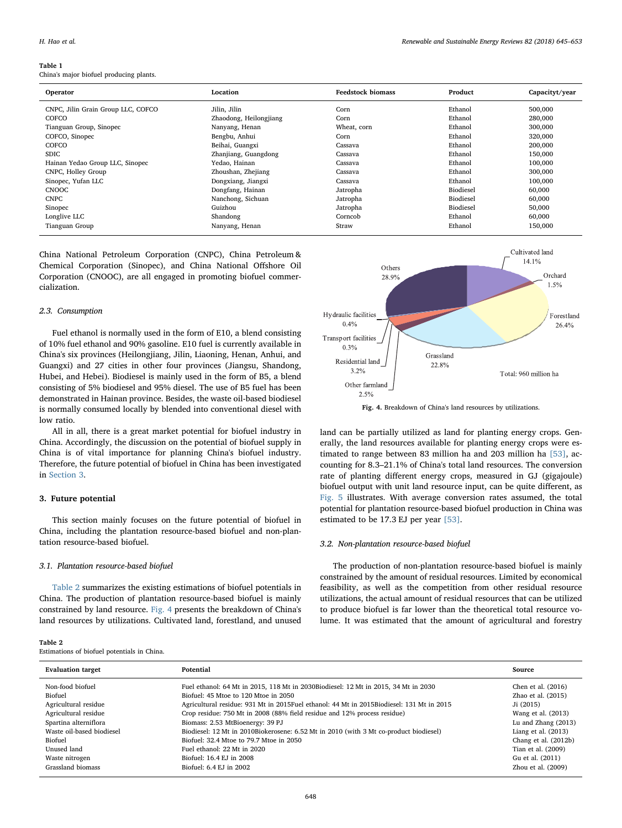#### <span id="page-3-0"></span>Table 1

China's major biofuel producing plants.

| Operator                           | Location               | <b>Feedstock biomass</b> | Product   | Capacityt/year |
|------------------------------------|------------------------|--------------------------|-----------|----------------|
| CNPC, Jilin Grain Group LLC, COFCO | Jilin, Jilin           | Corn                     | Ethanol   | 500,000        |
| COFCO                              | Zhaodong, Heilongjiang | Corn                     | Ethanol   | 280,000        |
| Tianguan Group, Sinopec            | Nanyang, Henan         | Wheat, corn              | Ethanol   | 300,000        |
| COFCO, Sinopec                     | Bengbu, Anhui          | Corn                     | Ethanol   | 320,000        |
| COFCO                              | Beihai, Guangxi        | Cassava                  | Ethanol   | 200,000        |
| <b>SDIC</b>                        | Zhanjiang, Guangdong   | Cassava                  | Ethanol   | 150,000        |
| Hainan Yedao Group LLC, Sinopec    | Yedao, Hainan          | Cassava                  | Ethanol   | 100,000        |
| CNPC, Holley Group                 | Zhoushan, Zhejiang     | Cassava                  | Ethanol   | 300,000        |
| Sinopec, Yufan LLC                 | Dongxiang, Jiangxi     | Cassava                  | Ethanol   | 100,000        |
| <b>CNOOC</b>                       | Dongfang, Hainan       | Jatropha                 | Biodiesel | 60,000         |
| <b>CNPC</b>                        | Nanchong, Sichuan      | Jatropha                 | Biodiesel | 60,000         |
| Sinopec                            | Guizhou                | Jatropha                 | Biodiesel | 50,000         |
| Longlive LLC                       | Shandong               | Corncob                  | Ethanol   | 60,000         |
| Tianguan Group                     | Nanyang, Henan         | Straw                    | Ethanol   | 150,000        |

China National Petroleum Corporation (CNPC), China Petroleum & Chemical Corporation (Sinopec), and China National Offshore Oil Corporation (CNOOC), are all engaged in promoting biofuel commercialization.

# 2.3. Consumption

Fuel ethanol is normally used in the form of E10, a blend consisting of 10% fuel ethanol and 90% gasoline. E10 fuel is currently available in China's six provinces (Heilongjiang, Jilin, Liaoning, Henan, Anhui, and Guangxi) and 27 cities in other four provinces (Jiangsu, Shandong, Hubei, and Hebei). Biodiesel is mainly used in the form of B5, a blend consisting of 5% biodiesel and 95% diesel. The use of B5 fuel has been demonstrated in Hainan province. Besides, the waste oil-based biodiesel is normally consumed locally by blended into conventional diesel with low ratio.

All in all, there is a great market potential for biofuel industry in China. Accordingly, the discussion on the potential of biofuel supply in China is of vital importance for planning China's biofuel industry. Therefore, the future potential of biofuel in China has been investigated in [Section 3](#page-3-1).

# <span id="page-3-1"></span>3. Future potential

This section mainly focuses on the future potential of biofuel in China, including the plantation resource-based biofuel and non-plantation resource-based biofuel.

# 3.1. Plantation resource-based biofuel

[Table 2](#page-3-2) summarizes the existing estimations of biofuel potentials in China. The production of plantation resource-based biofuel is mainly constrained by land resource. [Fig. 4](#page-3-3) presents the breakdown of China's land resources by utilizations. Cultivated land, forestland, and unused

<span id="page-3-2"></span>

| Table 2                                     |  |  |  |
|---------------------------------------------|--|--|--|
| Estimations of biofuel potentials in China. |  |  |  |

<span id="page-3-3"></span>

land can be partially utilized as land for planting energy crops. Generally, the land resources available for planting energy crops were estimated to range between 83 million ha and 203 million ha [\[53\]](#page-8-19), accounting for 8.3–21.1% of China's total land resources. The conversion rate of planting different energy crops, measured in GJ (gigajoule) biofuel output with unit land resource input, can be quite different, as [Fig. 5](#page-4-0) illustrates. With average conversion rates assumed, the total potential for plantation resource-based biofuel production in China was estimated to be 17.3 EJ per year [\[53\].](#page-8-19)

### 3.2. Non-plantation resource-based biofuel

The production of non-plantation resource-based biofuel is mainly constrained by the amount of residual resources. Limited by economical feasibility, as well as the competition from other residual resource utilizations, the actual amount of residual resources that can be utilized to produce biofuel is far lower than the theoretical total resource volume. It was estimated that the amount of agricultural and forestry

| <b>Evaluation target</b>  | Potential                                                                                  | Source                |
|---------------------------|--------------------------------------------------------------------------------------------|-----------------------|
| Non-food biofuel          | Fuel ethanol: 64 Mt in 2015, 118 Mt in 2030Biodiesel: 12 Mt in 2015, 34 Mt in 2030         | Chen et al. (2016)    |
| Biofuel                   | Biofuel: 45 Mtoe to 120 Mtoe in 2050                                                       | Zhao et al. (2015)    |
| Agricultural residue      | Agricultural residue: 931 Mt in 2015 Fuel ethanol: 44 Mt in 2015 Biodiesel: 131 Mt in 2015 | $J_i(2015)$           |
| Agricultural residue      | Crop residue: 750 Mt in 2008 (88% field residue and 12% process residue)                   | Wang et al. (2013)    |
| Spartina alterniflora     | Biomass: 2.53 MtBioenergy: 39 PJ                                                           | Lu and Zhang $(2013)$ |
| Waste oil-based biodiesel | Biodiesel: 12 Mt in 2010Biokerosene: 6.52 Mt in 2010 (with 3 Mt co-product biodiesel)      | Liang et al. $(2013)$ |
| Biofuel                   | Biofuel: 32.4 Mtoe to 79.7 Mtoe in 2050                                                    | Chang et al. (2012b)  |
| Unused land               | Fuel ethanol: 22 Mt in 2020                                                                | Tian et al. (2009)    |
| Waste nitrogen            | Biofuel: 16.4 EJ in 2008                                                                   | Gu et al. (2011)      |
| Grassland biomass         | Biofuel: 6.4 EJ in 2002                                                                    | Zhou et al. (2009)    |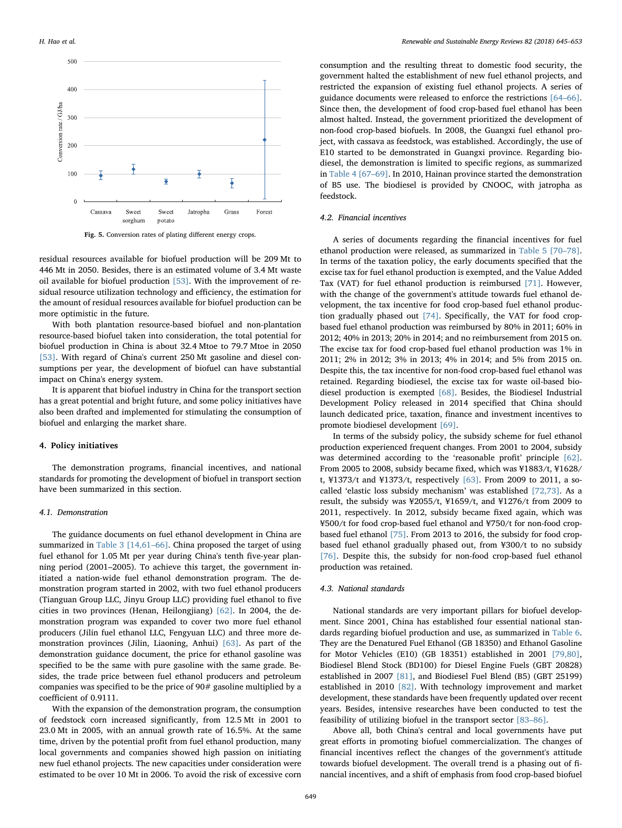<span id="page-4-0"></span>

Fig. 5. Conversion rates of plating different energy crops.

residual resources available for biofuel production will be 209 Mt to 446 Mt in 2050. Besides, there is an estimated volume of 3.4 Mt waste oil available for biofuel production [\[53\]](#page-8-19). With the improvement of residual resource utilization technology and efficiency, the estimation for the amount of residual resources available for biofuel production can be more optimistic in the future.

With both plantation resource-based biofuel and non-plantation resource-based biofuel taken into consideration, the total potential for biofuel production in China is about 32.4 Mtoe to 79.7 Mtoe in 2050 [\[53\]](#page-8-19). With regard of China's current 250 Mt gasoline and diesel consumptions per year, the development of biofuel can have substantial impact on China's energy system.

It is apparent that biofuel industry in China for the transport section has a great potential and bright future, and some policy initiatives have also been drafted and implemented for stimulating the consumption of biofuel and enlarging the market share.

#### 4. Policy initiatives

The demonstration programs, financial incentives, and national standards for promoting the development of biofuel in transport section have been summarized in this section.

#### 4.1. Demonstration

The guidance documents on fuel ethanol development in China are summarized in [Table 3](#page-5-0) [\[14,61](#page-7-11)–66]. China proposed the target of using fuel ethanol for 1.05 Mt per year during China's tenth five-year planning period (2001–2005). To achieve this target, the government initiated a nation-wide fuel ethanol demonstration program. The demonstration program started in 2002, with two fuel ethanol producers (Tianguan Group LLC, Jinyu Group LLC) providing fuel ethanol to five cities in two provinces (Henan, Heilongjiang) [\[62\].](#page-8-23) In 2004, the demonstration program was expanded to cover two more fuel ethanol producers (Jilin fuel ethanol LLC, Fengyuan LLC) and three more demonstration provinces (Jilin, Liaoning, Anhui) [\[63\].](#page-8-24) As part of the demonstration guidance document, the price for ethanol gasoline was specified to be the same with pure gasoline with the same grade. Besides, the trade price between fuel ethanol producers and petroleum companies was specified to be the price of 90# gasoline multiplied by a coefficient of 0.9111.

With the expansion of the demonstration program, the consumption of feedstock corn increased significantly, from 12.5 Mt in 2001 to 23.0 Mt in 2005, with an annual growth rate of 16.5%. At the same time, driven by the potential profit from fuel ethanol production, many local governments and companies showed high passion on initiating new fuel ethanol projects. The new capacities under consideration were estimated to be over 10 Mt in 2006. To avoid the risk of excessive corn

consumption and the resulting threat to domestic food security, the government halted the establishment of new fuel ethanol projects, and restricted the expansion of existing fuel ethanol projects. A series of guidance documents were released to enforce the restrictions [\[64](#page-8-25)–66]. Since then, the development of food crop-based fuel ethanol has been almost halted. Instead, the government prioritized the development of non-food crop-based biofuels. In 2008, the Guangxi fuel ethanol project, with cassava as feedstock, was established. Accordingly, the use of E10 started to be demonstrated in Guangxi province. Regarding biodiesel, the demonstration is limited to specific regions, as summarized in [Table 4](#page-5-1) [\[67](#page-8-26)–69]. In 2010, Hainan province started the demonstration of B5 use. The biodiesel is provided by CNOOC, with jatropha as feedstock.

## 4.2. Financial incentives

A series of documents regarding the financial incentives for fuel ethanol production were released, as summarized in [Table 5](#page-6-0) [\[70](#page-8-27)–78]. In terms of the taxation policy, the early documents specified that the excise tax for fuel ethanol production is exempted, and the Value Added Tax (VAT) for fuel ethanol production is reimbursed [\[71\]](#page-8-28). However, with the change of the government's attitude towards fuel ethanol development, the tax incentive for food crop-based fuel ethanol production gradually phased out [\[74\]](#page-8-29). Specifically, the VAT for food cropbased fuel ethanol production was reimbursed by 80% in 2011; 60% in 2012; 40% in 2013; 20% in 2014; and no reimbursement from 2015 on. The excise tax for food crop-based fuel ethanol production was 1% in 2011; 2% in 2012; 3% in 2013; 4% in 2014; and 5% from 2015 on. Despite this, the tax incentive for non-food crop-based fuel ethanol was retained. Regarding biodiesel, the excise tax for waste oil-based biodiesel production is exempted [\[68\].](#page-8-30) Besides, the Biodiesel Industrial Development Policy released in 2014 specified that China should launch dedicated price, taxation, finance and investment incentives to promote biodiesel development [\[69\].](#page-8-31)

In terms of the subsidy policy, the subsidy scheme for fuel ethanol production experienced frequent changes. From 2001 to 2004, subsidy was determined according to the 'reasonable profit' principle [\[62\]](#page-8-23). From 2005 to 2008, subsidy became fixed, which was ¥1883/t, ¥1628/ t, ¥1373/t and ¥1373/t, respectively [\[63\].](#page-8-24) From 2009 to 2011, a socalled 'elastic loss subsidy mechanism' was established [\[72,73\]](#page-8-32). As a result, the subsidy was ¥2055/t, ¥1659/t, and ¥1276/t from 2009 to 2011, respectively. In 2012, subsidy became fixed again, which was ¥500/t for food crop-based fuel ethanol and ¥750/t for non-food cropbased fuel ethanol [\[75\]](#page-8-33). From 2013 to 2016, the subsidy for food cropbased fuel ethanol gradually phased out, from ¥300/t to no subsidy [\[76\]](#page-8-34). Despite this, the subsidy for non-food crop-based fuel ethanol production was retained.

#### 4.3. National standards

National standards are very important pillars for biofuel development. Since 2001, China has established four essential national standards regarding biofuel production and use, as summarized in [Table 6](#page-6-1). They are the Denatured Fuel Ethanol (GB 18350) and Ethanol Gasoline for Motor Vehicles (E10) (GB 18351) established in 2001 [\[79,80\]](#page-8-35), Biodiesel Blend Stock (BD100) for Diesel Engine Fuels (GBT 20828) established in 2007 [\[81\]](#page-8-36), and Biodiesel Fuel Blend (B5) (GBT 25199) established in 2010 [\[82\].](#page-8-37) With technology improvement and market development, these standards have been frequently updated over recent years. Besides, intensive researches have been conducted to test the feasibility of utilizing biofuel in the transport sector [83–[86\]](#page-8-38).

Above all, both China's central and local governments have put great efforts in promoting biofuel commercialization. The changes of financial incentives reflect the changes of the government's attitude towards biofuel development. The overall trend is a phasing out of financial incentives, and a shift of emphasis from food crop-based biofuel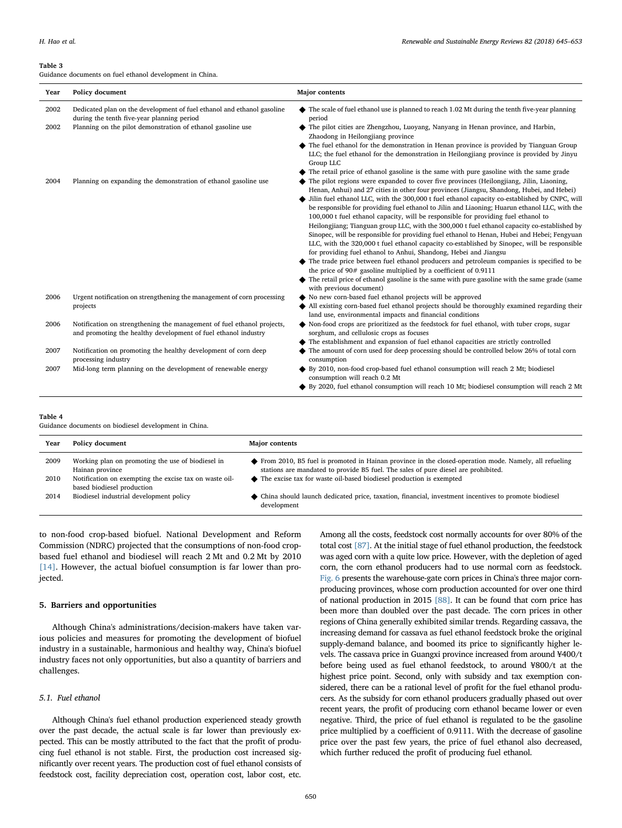#### <span id="page-5-0"></span>Table 3

Guidance documents on fuel ethanol development in China.

| Year | Policy document                                                                                                                          | <b>Major</b> contents                                                                                                                                                                                                                                                                       |
|------|------------------------------------------------------------------------------------------------------------------------------------------|---------------------------------------------------------------------------------------------------------------------------------------------------------------------------------------------------------------------------------------------------------------------------------------------|
| 2002 | Dedicated plan on the development of fuel ethanol and ethanol gasoline<br>during the tenth five-year planning period                     | The scale of fuel ethanol use is planned to reach 1.02 Mt during the tenth five-year planning<br>period                                                                                                                                                                                     |
| 2002 | Planning on the pilot demonstration of ethanol gasoline use                                                                              | The pilot cities are Zhengzhou, Luoyang, Nanyang in Henan province, and Harbin,<br>Zhaodong in Heilongjiang province                                                                                                                                                                        |
|      |                                                                                                                                          | The fuel ethanol for the demonstration in Henan province is provided by Tianguan Group<br>LLC; the fuel ethanol for the demonstration in Heilongjiang province is provided by Jinyu<br>Group LLC                                                                                            |
|      |                                                                                                                                          | The retail price of ethanol gasoline is the same with pure gasoline with the same grade                                                                                                                                                                                                     |
| 2004 | Planning on expanding the demonstration of ethanol gasoline use                                                                          | The pilot regions were expanded to cover five provinces (Heilongjiang, Jilin, Liaoning,<br>Henan, Anhui) and 27 cities in other four provinces (Jiangsu, Shandong, Hubei, and Hebei)                                                                                                        |
|      |                                                                                                                                          | Jilin fuel ethanol LLC, with the 300,000 t fuel ethanol capacity co-established by CNPC, will<br>be responsible for providing fuel ethanol to Jilin and Liaoning; Huarun ethanol LLC, with the<br>100,000 t fuel ethanol capacity, will be responsible for providing fuel ethanol to        |
|      |                                                                                                                                          | Heilongjiang; Tianguan group LLC, with the 300,000 t fuel ethanol capacity co-established by<br>Sinopec, will be responsible for providing fuel ethanol to Henan, Hubei and Hebei; Fengyuan<br>LLC, with the 320,000 t fuel ethanol capacity co-established by Sinopec, will be responsible |
|      |                                                                                                                                          | for providing fuel ethanol to Anhui, Shandong, Hebei and Jiangsu                                                                                                                                                                                                                            |
|      |                                                                                                                                          | $\blacklozenge$ The trade price between fuel ethanol producers and petroleum companies is specified to be<br>the price of $90#$ gasoline multiplied by a coefficient of 0.9111                                                                                                              |
|      |                                                                                                                                          | The retail price of ethanol gasoline is the same with pure gasoline with the same grade (same<br>with previous document)                                                                                                                                                                    |
| 2006 | Urgent notification on strengthening the management of corn processing                                                                   | No new corn-based fuel ethanol projects will be approved                                                                                                                                                                                                                                    |
|      | projects                                                                                                                                 | All existing corn-based fuel ethanol projects should be thoroughly examined regarding their<br>land use, environmental impacts and financial conditions                                                                                                                                     |
| 2006 | Notification on strengthening the management of fuel ethanol projects,<br>and promoting the healthy development of fuel ethanol industry | $\blacklozenge$ Non-food crops are prioritized as the feedstock for fuel ethanol, with tuber crops, sugar<br>sorghum, and cellulosic crops as focuses                                                                                                                                       |
|      |                                                                                                                                          | The establishment and expansion of fuel ethanol capacities are strictly controlled                                                                                                                                                                                                          |
| 2007 | Notification on promoting the healthy development of corn deep<br>processing industry                                                    | The amount of corn used for deep processing should be controlled below 26% of total corn<br>consumption                                                                                                                                                                                     |
| 2007 | Mid-long term planning on the development of renewable energy                                                                            | By 2010, non-food crop-based fuel ethanol consumption will reach 2 Mt; biodiesel<br>consumption will reach 0.2 Mt                                                                                                                                                                           |
|      |                                                                                                                                          | By 2020, fuel ethanol consumption will reach 10 Mt; biodiesel consumption will reach 2 Mt                                                                                                                                                                                                   |

<span id="page-5-1"></span>Table 4

Guidance documents on biodiesel development in China.

| Year | Policy document                                                                      | <b>Major contents</b>                                                                                                                                                                       |
|------|--------------------------------------------------------------------------------------|---------------------------------------------------------------------------------------------------------------------------------------------------------------------------------------------|
| 2009 | Working plan on promoting the use of biodiesel in<br>Hainan province                 | From 2010, B5 fuel is promoted in Hainan province in the closed-operation mode. Namely, all refueling<br>stations are mandated to provide B5 fuel. The sales of pure diesel are prohibited. |
| 2010 | Notification on exempting the excise tax on waste oil-<br>based biodiesel production | ◆ The excise tax for waste oil-based biodiesel production is exempted                                                                                                                       |
| 2014 | Biodiesel industrial development policy                                              | • China should launch dedicated price, taxation, financial, investment incentives to promote biodiesel<br>development                                                                       |

to non-food crop-based biofuel. National Development and Reform Commission (NDRC) projected that the consumptions of non-food cropbased fuel ethanol and biodiesel will reach 2 Mt and 0.2 Mt by 2010 [\[14\]](#page-7-11). However, the actual biofuel consumption is far lower than projected.

# 5. Barriers and opportunities

Although China's administrations/decision-makers have taken various policies and measures for promoting the development of biofuel industry in a sustainable, harmonious and healthy way, China's biofuel industry faces not only opportunities, but also a quantity of barriers and challenges.

# 5.1. Fuel ethanol

Although China's fuel ethanol production experienced steady growth over the past decade, the actual scale is far lower than previously expected. This can be mostly attributed to the fact that the profit of producing fuel ethanol is not stable. First, the production cost increased significantly over recent years. The production cost of fuel ethanol consists of feedstock cost, facility depreciation cost, operation cost, labor cost, etc.

Among all the costs, feedstock cost normally accounts for over 80% of the total cost [\[87\]](#page-8-39). At the initial stage of fuel ethanol production, the feedstock was aged corn with a quite low price. However, with the depletion of aged corn, the corn ethanol producers had to use normal corn as feedstock. [Fig. 6](#page-6-2) presents the warehouse-gate corn prices in China's three major cornproducing provinces, whose corn production accounted for over one third of national production in 2015 [\[88\]](#page-8-40). It can be found that corn price has been more than doubled over the past decade. The corn prices in other regions of China generally exhibited similar trends. Regarding cassava, the increasing demand for cassava as fuel ethanol feedstock broke the original supply-demand balance, and boomed its price to significantly higher levels. The cassava price in Guangxi province increased from around ¥400/t before being used as fuel ethanol feedstock, to around ¥800/t at the highest price point. Second, only with subsidy and tax exemption considered, there can be a rational level of profit for the fuel ethanol producers. As the subsidy for corn ethanol producers gradually phased out over recent years, the profit of producing corn ethanol became lower or even negative. Third, the price of fuel ethanol is regulated to be the gasoline price multiplied by a coefficient of 0.9111. With the decrease of gasoline price over the past few years, the price of fuel ethanol also decreased, which further reduced the profit of producing fuel ethanol.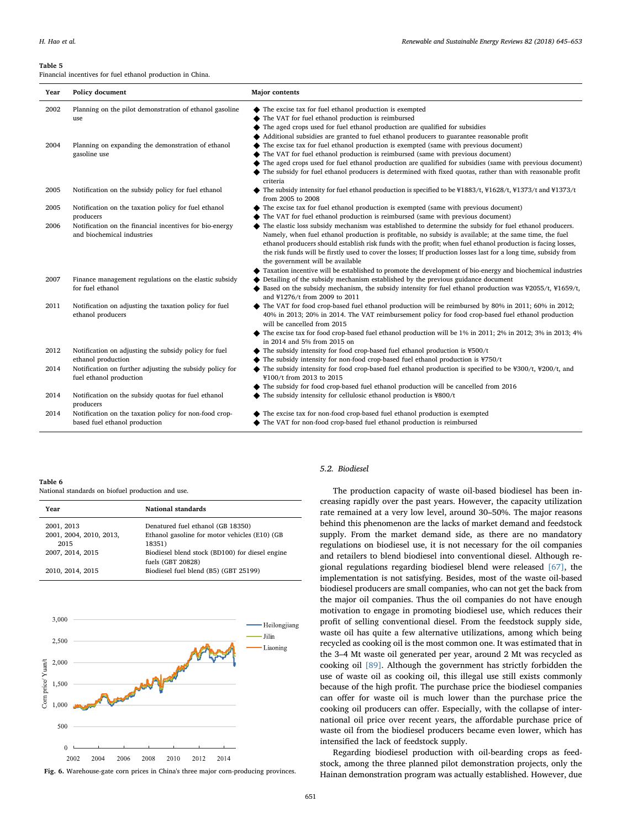#### <span id="page-6-0"></span>Table 5

Financial incentives for fuel ethanol production in China.

| Year | Policy document                                                                     | <b>Major</b> contents                                                                                                                                                                                                                                                                                                                                                            |
|------|-------------------------------------------------------------------------------------|----------------------------------------------------------------------------------------------------------------------------------------------------------------------------------------------------------------------------------------------------------------------------------------------------------------------------------------------------------------------------------|
| 2002 | Planning on the pilot demonstration of ethanol gasoline                             | The excise tax for fuel ethanol production is exempted                                                                                                                                                                                                                                                                                                                           |
|      | use                                                                                 | The VAT for fuel ethanol production is reimbursed                                                                                                                                                                                                                                                                                                                                |
|      |                                                                                     | The aged crops used for fuel ethanol production are qualified for subsidies                                                                                                                                                                                                                                                                                                      |
|      |                                                                                     | Additional subsidies are granted to fuel ethanol producers to guarantee reasonable profit                                                                                                                                                                                                                                                                                        |
| 2004 | Planning on expanding the demonstration of ethanol                                  | The excise tax for fuel ethanol production is exempted (same with previous document)                                                                                                                                                                                                                                                                                             |
|      | gasoline use                                                                        | The VAT for fuel ethanol production is reimbursed (same with previous document)                                                                                                                                                                                                                                                                                                  |
|      |                                                                                     | The aged crops used for fuel ethanol production are qualified for subsidies (same with previous document)                                                                                                                                                                                                                                                                        |
|      |                                                                                     | The subsidy for fuel ethanol producers is determined with fixed quotas, rather than with reasonable profit<br>criteria                                                                                                                                                                                                                                                           |
| 2005 | Notification on the subsidy policy for fuel ethanol                                 | $\blacklozenge$ The subsidy intensity for fuel ethanol production is specified to be ¥1883/t, ¥1628/t, ¥1373/t and ¥1373/t<br>from 2005 to 2008                                                                                                                                                                                                                                  |
| 2005 | Notification on the taxation policy for fuel ethanol                                | The excise tax for fuel ethanol production is exempted (same with previous document)                                                                                                                                                                                                                                                                                             |
|      | producers                                                                           | The VAT for fuel ethanol production is reimbursed (same with previous document)                                                                                                                                                                                                                                                                                                  |
| 2006 | Notification on the financial incentives for bio-energy                             | The elastic loss subsidy mechanism was established to determine the subsidy for fuel ethanol producers.                                                                                                                                                                                                                                                                          |
|      | and biochemical industries                                                          | Namely, when fuel ethanol production is profitable, no subsidy is available; at the same time, the fuel<br>ethanol producers should establish risk funds with the profit; when fuel ethanol production is facing losses,<br>the risk funds will be firstly used to cover the losses; If production losses last for a long time, subsidy from<br>the government will be available |
|      |                                                                                     | Taxation incentive will be established to promote the development of bio-energy and biochemical industries                                                                                                                                                                                                                                                                       |
| 2007 | Finance management regulations on the elastic subsidy                               | Detailing of the subsidy mechanism established by the previous guidance document                                                                                                                                                                                                                                                                                                 |
|      | for fuel ethanol                                                                    | Based on the subsidy mechanism, the subsidy intensity for fuel ethanol production was $\frac{1}{2}$ (55/t, $\frac{1}{2}$ 1659/t,<br>and ¥1276/t from 2009 to 2011                                                                                                                                                                                                                |
| 2011 | Notification on adjusting the taxation policy for fuel<br>ethanol producers         | $\blacklozenge$ The VAT for food crop-based fuel ethanol production will be reimbursed by 80% in 2011; 60% in 2012;<br>40% in 2013; 20% in 2014. The VAT reimbursement policy for food crop-based fuel ethanol production<br>will be cancelled from 2015                                                                                                                         |
|      |                                                                                     | The excise tax for food crop-based fuel ethanol production will be 1% in 2011; 2% in 2012; 3% in 2013; 4%<br>in 2014 and 5% from 2015 on                                                                                                                                                                                                                                         |
| 2012 | Notification on adjusting the subsidy policy for fuel                               | The subsidy intensity for food crop-based fuel ethanol production is ¥500/t                                                                                                                                                                                                                                                                                                      |
|      | ethanol production                                                                  | The subsidy intensity for non-food crop-based fuel ethanol production is ¥750/t                                                                                                                                                                                                                                                                                                  |
| 2014 | Notification on further adjusting the subsidy policy for<br>fuel ethanol production | The subsidy intensity for food crop-based fuel ethanol production is specified to be $\text{\textsterling}300/t$ , $\text{\texttt{\textless}}200/t$ , and<br>¥100/t from 2013 to 2015                                                                                                                                                                                            |
|      |                                                                                     | The subsidy for food crop-based fuel ethanol production will be cancelled from 2016                                                                                                                                                                                                                                                                                              |
| 2014 | Notification on the subsidy quotas for fuel ethanol<br>producers                    | The subsidy intensity for cellulosic ethanol production is ¥800/t                                                                                                                                                                                                                                                                                                                |
| 2014 | Notification on the taxation policy for non-food crop-                              | The excise tax for non-food crop-based fuel ethanol production is exempted                                                                                                                                                                                                                                                                                                       |
|      | based fuel ethanol production                                                       | The VAT for non-food crop-based fuel ethanol production is reimbursed                                                                                                                                                                                                                                                                                                            |

<span id="page-6-1"></span>Table 6

National standards on biofuel production and use.

| Year                    | National standards                              |
|-------------------------|-------------------------------------------------|
| 2001, 2013              | Denatured fuel ethanol (GB 18350)               |
| 2001, 2004, 2010, 2013, | Ethanol gasoline for motor vehicles (E10) (GB   |
| 2015                    | 18351)                                          |
| 2007, 2014, 2015        | Biodiesel blend stock (BD100) for diesel engine |
|                         | fuels (GBT 20828)                               |
| 2010, 2014, 2015        | Biodiesel fuel blend (B5) (GBT 25199)           |
|                         |                                                 |

<span id="page-6-2"></span>

Fig. 6. Warehouse-gate corn prices in China's three major corn-producing provinces.

# 5.2. Biodiesel

The production capacity of waste oil-based biodiesel has been increasing rapidly over the past years. However, the capacity utilization rate remained at a very low level, around 30–50%. The major reasons behind this phenomenon are the lacks of market demand and feedstock supply. From the market demand side, as there are no mandatory regulations on biodiesel use, it is not necessary for the oil companies and retailers to blend biodiesel into conventional diesel. Although regional regulations regarding biodiesel blend were released [\[67\],](#page-8-26) the implementation is not satisfying. Besides, most of the waste oil-based biodiesel producers are small companies, who can not get the back from the major oil companies. Thus the oil companies do not have enough motivation to engage in promoting biodiesel use, which reduces their profit of selling conventional diesel. From the feedstock supply side, waste oil has quite a few alternative utilizations, among which being recycled as cooking oil is the most common one. It was estimated that in the 3–4 Mt waste oil generated per year, around 2 Mt was recycled as cooking oil [\[89\]](#page-8-41). Although the government has strictly forbidden the use of waste oil as cooking oil, this illegal use still exists commonly because of the high profit. The purchase price the biodiesel companies can offer for waste oil is much lower than the purchase price the cooking oil producers can offer. Especially, with the collapse of international oil price over recent years, the affordable purchase price of waste oil from the biodiesel producers became even lower, which has intensified the lack of feedstock supply.

Regarding biodiesel production with oil-bearding crops as feedstock, among the three planned pilot demonstration projects, only the Hainan demonstration program was actually established. However, due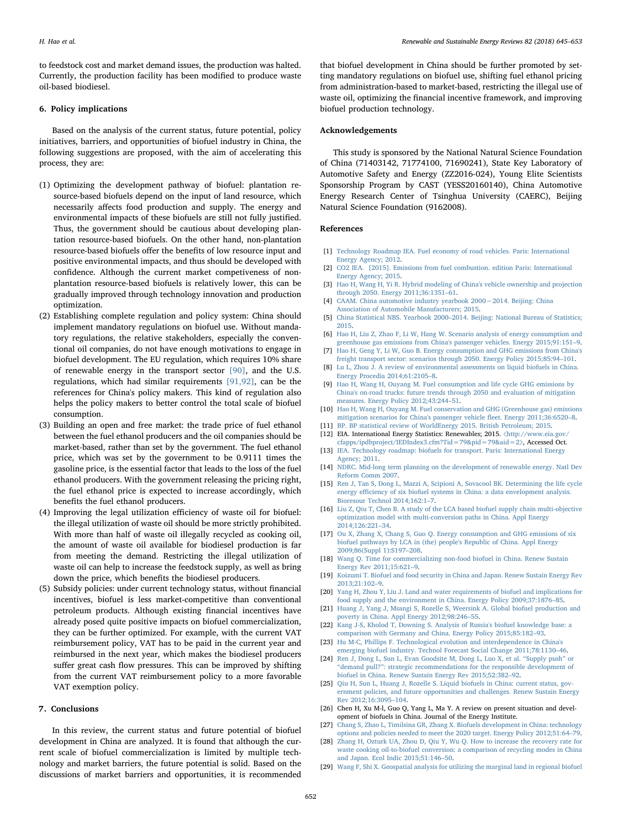to feedstock cost and market demand issues, the production was halted. Currently, the production facility has been modified to produce waste oil-based biodiesel.

### 6. Policy implications

Based on the analysis of the current status, future potential, policy initiatives, barriers, and opportunities of biofuel industry in China, the following suggestions are proposed, with the aim of accelerating this process, they are:

- (1) Optimizing the development pathway of biofuel: plantation resource-based biofuels depend on the input of land resource, which necessarily affects food production and supply. The energy and environmental impacts of these biofuels are still not fully justified. Thus, the government should be cautious about developing plantation resource-based biofuels. On the other hand, non-plantation resource-based biofuels offer the benefits of low resource input and positive environmental impacts, and thus should be developed with confidence. Although the current market competiveness of nonplantation resource-based biofuels is relatively lower, this can be gradually improved through technology innovation and production optimization.
- (2) Establishing complete regulation and policy system: China should implement mandatory regulations on biofuel use. Without mandatory regulations, the relative stakeholders, especially the conventional oil companies, do not have enough motivations to engage in biofuel development. The EU regulation, which requires 10% share of renewable energy in the transport sector [\[90\]](#page-8-42), and the U.S. regulations, which had similar requirements [\[91,92\],](#page-8-43) can be the references for China's policy makers. This kind of regulation also helps the policy makers to better control the total scale of biofuel consumption.
- (3) Building an open and free market: the trade price of fuel ethanol between the fuel ethanol producers and the oil companies should be market-based, rather than set by the government. The fuel ethanol price, which was set by the government to be 0.9111 times the gasoline price, is the essential factor that leads to the loss of the fuel ethanol producers. With the government releasing the pricing right, the fuel ethanol price is expected to increase accordingly, which benefits the fuel ethanol producers.
- (4) Improving the legal utilization efficiency of waste oil for biofuel: the illegal utilization of waste oil should be more strictly prohibited. With more than half of waste oil illegally recycled as cooking oil, the amount of waste oil available for biodiesel production is far from meeting the demand. Restricting the illegal utilization of waste oil can help to increase the feedstock supply, as well as bring down the price, which benefits the biodiesel producers.
- (5) Subsidy policies: under current technology status, without financial incentives, biofuel is less market-competitive than conventional petroleum products. Although existing financial incentives have already posed quite positive impacts on biofuel commercialization, they can be further optimized. For example, with the current VAT reimbursement policy, VAT has to be paid in the current year and reimbursed in the next year, which makes the biodiesel producers suffer great cash flow pressures. This can be improved by shifting from the current VAT reimbursement policy to a more favorable VAT exemption policy.

# 7. Conclusions

In this review, the current status and future potential of biofuel development in China are analyzed. It is found that although the current scale of biofuel commercialization is limited by multiple technology and market barriers, the future potential is solid. Based on the discussions of market barriers and opportunities, it is recommended

that biofuel development in China should be further promoted by setting mandatory regulations on biofuel use, shifting fuel ethanol pricing from administration-based to market-based, restricting the illegal use of waste oil, optimizing the financial incentive framework, and improving biofuel production technology.

#### Acknowledgements

This study is sponsored by the National Natural Science Foundation of China (71403142, 71774100, 71690241), State Key Laboratory of Automotive Safety and Energy (ZZ2016-024), Young Elite Scientists Sponsorship Program by CAST (YESS20160140), China Automotive Energy Research Center of Tsinghua University (CAERC), Beijing Natural Science Foundation (9162008).

# References

- <span id="page-7-0"></span>[1] [Technology Roadmap IEA. Fuel economy of road vehicles. Paris: International](http://refhub.elsevier.com/S1364-0321(17)31306-0/sbref1) [Energy Agency; 2012.](http://refhub.elsevier.com/S1364-0321(17)31306-0/sbref1)
- <span id="page-7-1"></span>[2] [CO2 IEA. \[2015\]. Emissions from fuel combustion. edition Paris: International](http://refhub.elsevier.com/S1364-0321(17)31306-0/sbref2) [Energy Agency; 2015.](http://refhub.elsevier.com/S1364-0321(17)31306-0/sbref2)
- <span id="page-7-2"></span>[3] [Hao H, Wang H, Yi R. Hybrid modeling of China's vehicle ownership and projection](http://refhub.elsevier.com/S1364-0321(17)31306-0/sbref3) [through 2050. Energy 2011;36:1351](http://refhub.elsevier.com/S1364-0321(17)31306-0/sbref3)–61.
- <span id="page-7-3"></span>[4] [CAAM. China automotive industry yearbook 2000](http://refhub.elsevier.com/S1364-0321(17)31306-0/sbref4)−2014. Beijing: China [Association of Automobile Manufacturers; 2015.](http://refhub.elsevier.com/S1364-0321(17)31306-0/sbref4)
- <span id="page-7-4"></span>[5] China Statistical NBS. Yearbook 2000–[2014. Beijing: National Bureau of Statistics;](http://refhub.elsevier.com/S1364-0321(17)31306-0/sbref5) [2015.](http://refhub.elsevier.com/S1364-0321(17)31306-0/sbref5)
- <span id="page-7-5"></span>[6] [Hao H, Liu Z, Zhao F, Li W, Hang W. Scenario analysis of energy consumption and](http://refhub.elsevier.com/S1364-0321(17)31306-0/sbref6) [greenhouse gas emissions from China's passenger vehicles. Energy 2015;91:151](http://refhub.elsevier.com/S1364-0321(17)31306-0/sbref6)–9. [7] [Hao H, Geng Y, Li W, Guo B. Energy consumption and GHG emissions from China's](http://refhub.elsevier.com/S1364-0321(17)31306-0/sbref7)
- <span id="page-7-6"></span>[freight transport sector: scenarios through 2050. Energy Policy 2015;85:94](http://refhub.elsevier.com/S1364-0321(17)31306-0/sbref7)–101.
- <span id="page-7-7"></span>[8] [Lu L, Zhou J. A review of environmental assessments on liquid biofuels in China.](http://refhub.elsevier.com/S1364-0321(17)31306-0/sbref8) [Energy Procedia 2014;61:2105](http://refhub.elsevier.com/S1364-0321(17)31306-0/sbref8)–8.
- <span id="page-7-8"></span>[9] [Hao H, Wang H, Ouyang M. Fuel consumption and life cycle GHG emissions by](http://refhub.elsevier.com/S1364-0321(17)31306-0/sbref9) [China's on-road trucks: future trends through 2050 and evaluation of mitigation](http://refhub.elsevier.com/S1364-0321(17)31306-0/sbref9) [measures. Energy Policy 2012;43:244](http://refhub.elsevier.com/S1364-0321(17)31306-0/sbref9)–51.
- [10] [Hao H, Wang H, Ouyang M. Fuel conservation and GHG \(Greenhouse gas\) emissions](http://refhub.elsevier.com/S1364-0321(17)31306-0/sbref10) [mitigation scenarios for China's passenger vehicle](http://refhub.elsevier.com/S1364-0321(17)31306-0/sbref10) fleet. Energy 2011;36:6520–8.
- <span id="page-7-26"></span><span id="page-7-9"></span>[11] [BP. BP statistical review of WorldEnergy 2015. British Petroleum; 2015.](http://refhub.elsevier.com/S1364-0321(17)31306-0/sbref11) [12] EIA. International Energy Statistics: Renewables; 2015. 〈[http://www.eia.gov/](http://www.eia.gov/cfapps/ipdbproject/IEDIndex3.cfm?Tid=79&pid=79&aid=2)
- [cfapps/ipdbproject/IEDIndex3.cfm?Tid=79&pid=79&aid=2](http://www.eia.gov/cfapps/ipdbproject/IEDIndex3.cfm?Tid=79&pid=79&aid=2)〉, Accessed Oct. [13] [IEA. Technology roadmap: biofuels for transport. Paris: International Energy](http://refhub.elsevier.com/S1364-0321(17)31306-0/sbref12)
- <span id="page-7-10"></span>[Agency; 2011.](http://refhub.elsevier.com/S1364-0321(17)31306-0/sbref12)
- <span id="page-7-11"></span>[14] [NDRC. Mid-long term planning on the development of renewable energy. Natl Dev](http://refhub.elsevier.com/S1364-0321(17)31306-0/sbref13) [Reform Comm 2007.](http://refhub.elsevier.com/S1364-0321(17)31306-0/sbref13)
- <span id="page-7-12"></span>[15] [Ren J, Tan S, Dong L, Mazzi A, Scipioni A, Sovacool BK. Determining the life cycle](http://refhub.elsevier.com/S1364-0321(17)31306-0/sbref14) energy effi[ciency of six biofuel systems in China: a data envelopment analysis.](http://refhub.elsevier.com/S1364-0321(17)31306-0/sbref14) [Bioresour Technol 2014;162:1](http://refhub.elsevier.com/S1364-0321(17)31306-0/sbref14)–7.
- <span id="page-7-13"></span>[16] [Liu Z, Qiu T, Chen B. A study of the LCA based biofuel supply chain multi-objective](http://refhub.elsevier.com/S1364-0321(17)31306-0/sbref15) [optimization model with multi-conversion paths in China. Appl Energy](http://refhub.elsevier.com/S1364-0321(17)31306-0/sbref15) [2014;126:221](http://refhub.elsevier.com/S1364-0321(17)31306-0/sbref15)–34.
- <span id="page-7-14"></span>[17] [Ou X, Zhang X, Chang S, Guo Q. Energy consumption and GHG emissions of six](http://refhub.elsevier.com/S1364-0321(17)31306-0/sbref16) [biofuel pathways by LCA in \(the\) people's Republic of China. Appl Energy](http://refhub.elsevier.com/S1364-0321(17)31306-0/sbref16) [2009;86\(Suppl 1\):S197](http://refhub.elsevier.com/S1364-0321(17)31306-0/sbref16)–208.
- <span id="page-7-15"></span>[18] [Wang Q. Time for commercializing non-food biofuel in China. Renew Sustain](http://refhub.elsevier.com/S1364-0321(17)31306-0/sbref17) [Energy Rev 2011;15:621](http://refhub.elsevier.com/S1364-0321(17)31306-0/sbref17)–9.
- <span id="page-7-16"></span>[19] Koizumi [T. Biofuel and food security in China and Japan. Renew Sustain Energy Rev](http://refhub.elsevier.com/S1364-0321(17)31306-0/sbref18) [2013;21:102](http://refhub.elsevier.com/S1364-0321(17)31306-0/sbref18)–9.
- <span id="page-7-17"></span>[20] [Yang H, Zhou Y, Liu J. Land and water requirements of biofuel and implications for](http://refhub.elsevier.com/S1364-0321(17)31306-0/sbref19) [food supply and the environment in China. Energy Policy 2009;37:1876](http://refhub.elsevier.com/S1364-0321(17)31306-0/sbref19)–85.
- <span id="page-7-18"></span>[21] [Huang J, Yang J, Msangi S, Rozelle S, Weersink A. Global biofuel production and](http://refhub.elsevier.com/S1364-0321(17)31306-0/sbref20) [poverty in China. Appl Energy 2012;98:246](http://refhub.elsevier.com/S1364-0321(17)31306-0/sbref20)–55.
- <span id="page-7-19"></span>[22] [Kang J-S, Kholod T, Downing S. Analysis of Russia's biofuel knowledge base: a](http://refhub.elsevier.com/S1364-0321(17)31306-0/sbref21) [comparison with Germany and China. Energy Policy 2015;85:182](http://refhub.elsevier.com/S1364-0321(17)31306-0/sbref21)–93.
- [23] [Hu M-C, Phillips F. Technological evolution and interdependence in China's](http://refhub.elsevier.com/S1364-0321(17)31306-0/sbref22) [emerging biofuel industry. Technol Forecast Social Change 2011;78:1130](http://refhub.elsevier.com/S1364-0321(17)31306-0/sbref22)–46.
- <span id="page-7-20"></span>[24] [Ren J, Dong L, Sun L, Evan Goodsite M, Dong L, Luo X, et al.](http://refhub.elsevier.com/S1364-0321(17)31306-0/sbref23) "Supply push" or "demand pull?"[: strategic recommendations for the responsible development of](http://refhub.elsevier.com/S1364-0321(17)31306-0/sbref23) [biofuel in China. Renew Sustain Energy Rev 2015;52:382](http://refhub.elsevier.com/S1364-0321(17)31306-0/sbref23)–92.
- <span id="page-7-21"></span>[25] [Qiu H, Sun L, Huang J, Rozelle S. Liquid biofuels in China: current status, gov](http://refhub.elsevier.com/S1364-0321(17)31306-0/sbref24)[ernment policies, and future opportunities and challenges. Renew Sustain Energy](http://refhub.elsevier.com/S1364-0321(17)31306-0/sbref24) [Rev 2012;16:3095](http://refhub.elsevier.com/S1364-0321(17)31306-0/sbref24)–104.
- <span id="page-7-22"></span>[26] Chen H, Xu M-l, Guo Q, Yang L, Ma Y. A review on present situation and development of biofuels in China. Journal of the Energy Institute.
- <span id="page-7-23"></span>[27] [Chang S, Zhao L, Timilsina GR, Zhang X. Biofuels development in China: technology](http://refhub.elsevier.com/S1364-0321(17)31306-0/sbref25) [options and policies needed to meet the 2020 target. Energy Policy 2012;51:64](http://refhub.elsevier.com/S1364-0321(17)31306-0/sbref25)–79.
- <span id="page-7-24"></span>[28] [Zhang H, Ozturk UA, Zhou D, Qiu Y, Wu Q. How to increase the recovery rate for](http://refhub.elsevier.com/S1364-0321(17)31306-0/sbref26) [waste cooking oil-to-biofuel conversion: a comparison of recycling modes in China](http://refhub.elsevier.com/S1364-0321(17)31306-0/sbref26) [and Japan. Ecol Indic 2015;51:146](http://refhub.elsevier.com/S1364-0321(17)31306-0/sbref26)–50.
- <span id="page-7-25"></span>[29] [Wang F, Shi X. Geospatial analysis for utilizing the marginal land in regional biofuel](http://refhub.elsevier.com/S1364-0321(17)31306-0/sbref27)